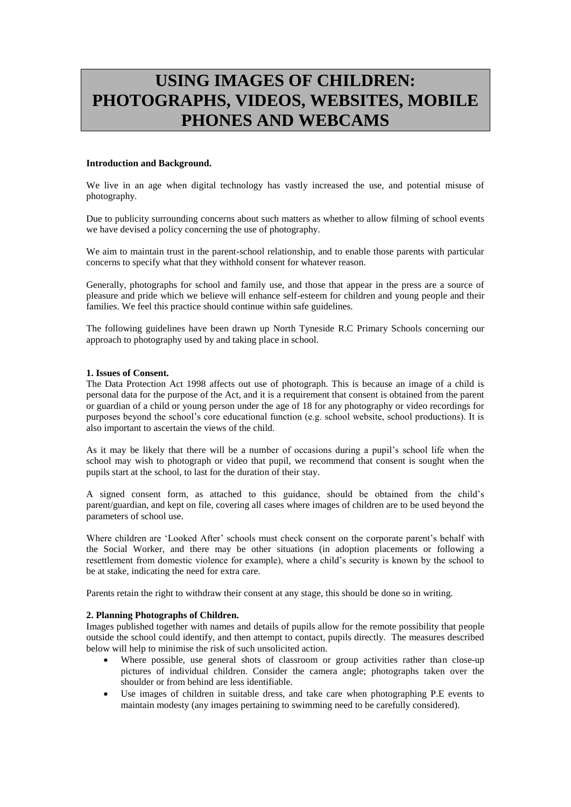# **USING IMAGES OF CHILDREN: PHOTOGRAPHS, VIDEOS, WEBSITES, MOBILE PHONES AND WEBCAMS**

# **Introduction and Background.**

We live in an age when digital technology has vastly increased the use, and potential misuse of photography.

Due to publicity surrounding concerns about such matters as whether to allow filming of school events we have devised a policy concerning the use of photography.

We aim to maintain trust in the parent-school relationship, and to enable those parents with particular concerns to specify what that they withhold consent for whatever reason.

Generally, photographs for school and family use, and those that appear in the press are a source of pleasure and pride which we believe will enhance self-esteem for children and young people and their families. We feel this practice should continue within safe guidelines.

The following guidelines have been drawn up North Tyneside R.C Primary Schools concerning our approach to photography used by and taking place in school.

# **1. Issues of Consent.**

The Data Protection Act 1998 affects out use of photograph. This is because an image of a child is personal data for the purpose of the Act, and it is a requirement that consent is obtained from the parent or guardian of a child or young person under the age of 18 for any photography or video recordings for purposes beyond the school's core educational function (e.g. school website, school productions). It is also important to ascertain the views of the child.

As it may be likely that there will be a number of occasions during a pupil's school life when the school may wish to photograph or video that pupil, we recommend that consent is sought when the pupils start at the school, to last for the duration of their stay.

A signed consent form, as attached to this guidance, should be obtained from the child's parent/guardian, and kept on file, covering all cases where images of children are to be used beyond the parameters of school use.

Where children are 'Looked After' schools must check consent on the corporate parent's behalf with the Social Worker, and there may be other situations (in adoption placements or following a resettlement from domestic violence for example), where a child's security is known by the school to be at stake, indicating the need for extra care.

Parents retain the right to withdraw their consent at any stage, this should be done so in writing.

# **2. Planning Photographs of Children.**

Images published together with names and details of pupils allow for the remote possibility that people outside the school could identify, and then attempt to contact, pupils directly. The measures described below will help to minimise the risk of such unsolicited action.

- Where possible, use general shots of classroom or group activities rather than close-up pictures of individual children. Consider the camera angle; photographs taken over the shoulder or from behind are less identifiable.
- Use images of children in suitable dress, and take care when photographing P.E events to maintain modesty (any images pertaining to swimming need to be carefully considered).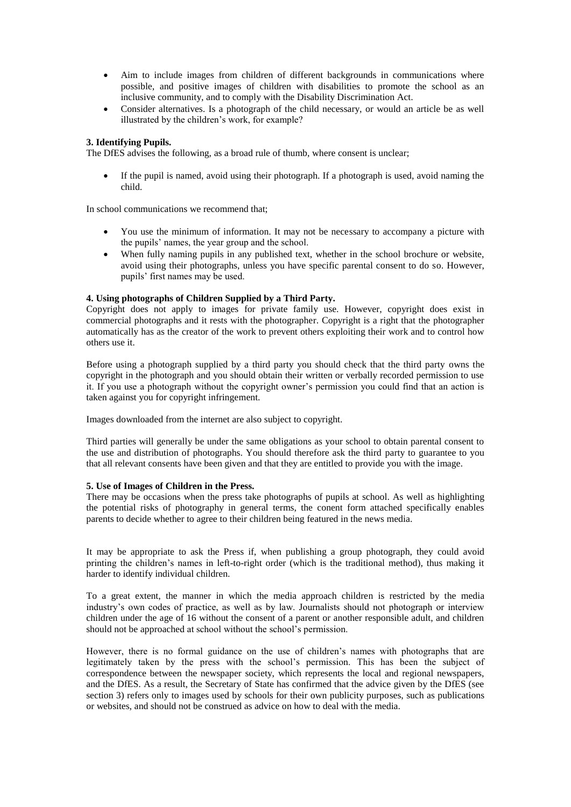- Aim to include images from children of different backgrounds in communications where possible, and positive images of children with disabilities to promote the school as an inclusive community, and to comply with the Disability Discrimination Act.
- Consider alternatives. Is a photograph of the child necessary, or would an article be as well illustrated by the children's work, for example?

# **3. Identifying Pupils.**

The DfES advises the following, as a broad rule of thumb, where consent is unclear;

 If the pupil is named, avoid using their photograph. If a photograph is used, avoid naming the child.

In school communications we recommend that;

- You use the minimum of information. It may not be necessary to accompany a picture with the pupils' names, the year group and the school.
- When fully naming pupils in any published text, whether in the school brochure or website, avoid using their photographs, unless you have specific parental consent to do so. However, pupils' first names may be used.

# **4. Using photographs of Children Supplied by a Third Party.**

Copyright does not apply to images for private family use. However, copyright does exist in commercial photographs and it rests with the photographer. Copyright is a right that the photographer automatically has as the creator of the work to prevent others exploiting their work and to control how others use it.

Before using a photograph supplied by a third party you should check that the third party owns the copyright in the photograph and you should obtain their written or verbally recorded permission to use it. If you use a photograph without the copyright owner's permission you could find that an action is taken against you for copyright infringement.

Images downloaded from the internet are also subject to copyright.

Third parties will generally be under the same obligations as your school to obtain parental consent to the use and distribution of photographs. You should therefore ask the third party to guarantee to you that all relevant consents have been given and that they are entitled to provide you with the image.

# **5. Use of Images of Children in the Press.**

There may be occasions when the press take photographs of pupils at school. As well as highlighting the potential risks of photography in general terms, the conent form attached specifically enables parents to decide whether to agree to their children being featured in the news media.

It may be appropriate to ask the Press if, when publishing a group photograph, they could avoid printing the children's names in left-to-right order (which is the traditional method), thus making it harder to identify individual children.

To a great extent, the manner in which the media approach children is restricted by the media industry's own codes of practice, as well as by law. Journalists should not photograph or interview children under the age of 16 without the consent of a parent or another responsible adult, and children should not be approached at school without the school's permission.

However, there is no formal guidance on the use of children's names with photographs that are legitimately taken by the press with the school's permission. This has been the subject of correspondence between the newspaper society, which represents the local and regional newspapers, and the DfES. As a result, the Secretary of State has confirmed that the advice given by the DfES (see section 3) refers only to images used by schools for their own publicity purposes, such as publications or websites, and should not be construed as advice on how to deal with the media.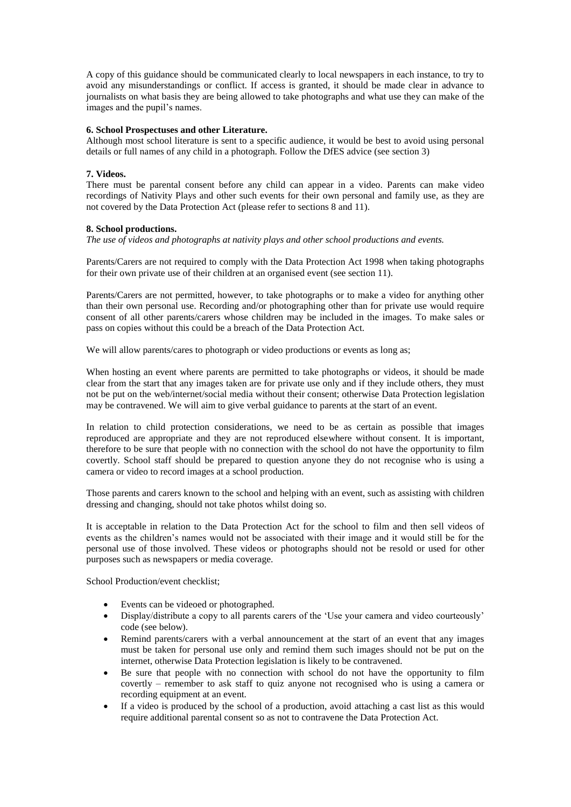A copy of this guidance should be communicated clearly to local newspapers in each instance, to try to avoid any misunderstandings or conflict. If access is granted, it should be made clear in advance to journalists on what basis they are being allowed to take photographs and what use they can make of the images and the pupil's names.

# **6. School Prospectuses and other Literature.**

Although most school literature is sent to a specific audience, it would be best to avoid using personal details or full names of any child in a photograph. Follow the DfES advice (see section 3)

# **7. Videos.**

There must be parental consent before any child can appear in a video. Parents can make video recordings of Nativity Plays and other such events for their own personal and family use, as they are not covered by the Data Protection Act (please refer to sections 8 and 11).

# **8. School productions.**

*The use of videos and photographs at nativity plays and other school productions and events.* 

Parents/Carers are not required to comply with the Data Protection Act 1998 when taking photographs for their own private use of their children at an organised event (see section 11).

Parents/Carers are not permitted, however, to take photographs or to make a video for anything other than their own personal use. Recording and/or photographing other than for private use would require consent of all other parents/carers whose children may be included in the images. To make sales or pass on copies without this could be a breach of the Data Protection Act.

We will allow parents/cares to photograph or video productions or events as long as;

When hosting an event where parents are permitted to take photographs or videos, it should be made clear from the start that any images taken are for private use only and if they include others, they must not be put on the web/internet/social media without their consent; otherwise Data Protection legislation may be contravened. We will aim to give verbal guidance to parents at the start of an event.

In relation to child protection considerations, we need to be as certain as possible that images reproduced are appropriate and they are not reproduced elsewhere without consent. It is important, therefore to be sure that people with no connection with the school do not have the opportunity to film covertly. School staff should be prepared to question anyone they do not recognise who is using a camera or video to record images at a school production.

Those parents and carers known to the school and helping with an event, such as assisting with children dressing and changing, should not take photos whilst doing so.

It is acceptable in relation to the Data Protection Act for the school to film and then sell videos of events as the children's names would not be associated with their image and it would still be for the personal use of those involved. These videos or photographs should not be resold or used for other purposes such as newspapers or media coverage.

School Production/event checklist;

- Events can be videoed or photographed.
- Display/distribute a copy to all parents carers of the 'Use your camera and video courteously' code (see below).
- Remind parents/carers with a verbal announcement at the start of an event that any images must be taken for personal use only and remind them such images should not be put on the internet, otherwise Data Protection legislation is likely to be contravened.
- Be sure that people with no connection with school do not have the opportunity to film covertly – remember to ask staff to quiz anyone not recognised who is using a camera or recording equipment at an event.
- If a video is produced by the school of a production, avoid attaching a cast list as this would require additional parental consent so as not to contravene the Data Protection Act.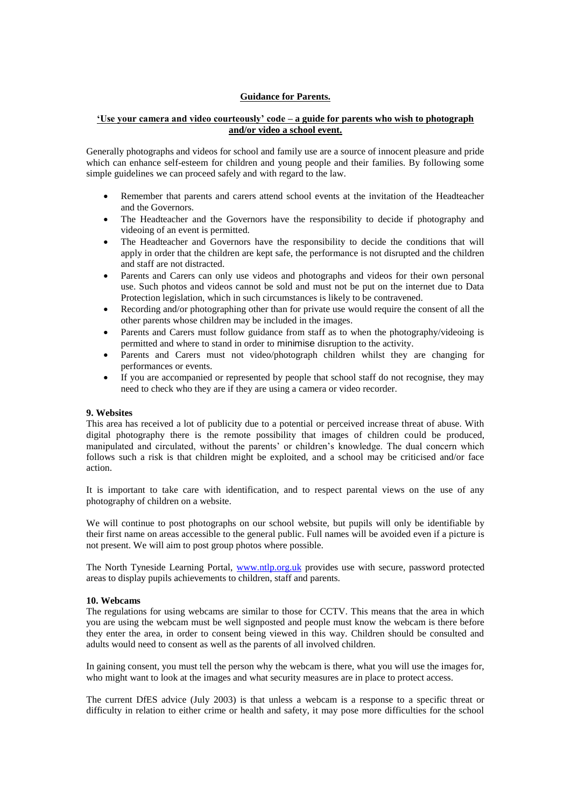# **Guidance for Parents.**

# **'Use your camera and video courteously' code – a guide for parents who wish to photograph and/or video a school event.**

Generally photographs and videos for school and family use are a source of innocent pleasure and pride which can enhance self-esteem for children and young people and their families. By following some simple guidelines we can proceed safely and with regard to the law.

- Remember that parents and carers attend school events at the invitation of the Headteacher and the Governors.
- The Headteacher and the Governors have the responsibility to decide if photography and videoing of an event is permitted.
- The Headteacher and Governors have the responsibility to decide the conditions that will apply in order that the children are kept safe, the performance is not disrupted and the children and staff are not distracted.
- Parents and Carers can only use videos and photographs and videos for their own personal use. Such photos and videos cannot be sold and must not be put on the internet due to Data Protection legislation, which in such circumstances is likely to be contravened.
- Recording and/or photographing other than for private use would require the consent of all the other parents whose children may be included in the images.
- Parents and Carers must follow guidance from staff as to when the photography/videoing is permitted and where to stand in order to minimise disruption to the activity.
- Parents and Carers must not video/photograph children whilst they are changing for performances or events.
- If you are accompanied or represented by people that school staff do not recognise, they may need to check who they are if they are using a camera or video recorder.

#### **9. Websites**

This area has received a lot of publicity due to a potential or perceived increase threat of abuse. With digital photography there is the remote possibility that images of children could be produced, manipulated and circulated, without the parents' or children's knowledge. The dual concern which follows such a risk is that children might be exploited, and a school may be criticised and/or face action.

It is important to take care with identification, and to respect parental views on the use of any photography of children on a website.

We will continue to post photographs on our school website, but pupils will only be identifiable by their first name on areas accessible to the general public. Full names will be avoided even if a picture is not present. We will aim to post group photos where possible.

The North Tyneside Learning Portal, [www.ntlp.org.uk](http://www.ntlp.org.uk/) provides use with secure, password protected areas to display pupils achievements to children, staff and parents.

#### **10. Webcams**

The regulations for using webcams are similar to those for CCTV. This means that the area in which you are using the webcam must be well signposted and people must know the webcam is there before they enter the area, in order to consent being viewed in this way. Children should be consulted and adults would need to consent as well as the parents of all involved children.

In gaining consent, you must tell the person why the webcam is there, what you will use the images for, who might want to look at the images and what security measures are in place to protect access.

The current DfES advice (July 2003) is that unless a webcam is a response to a specific threat or difficulty in relation to either crime or health and safety, it may pose more difficulties for the school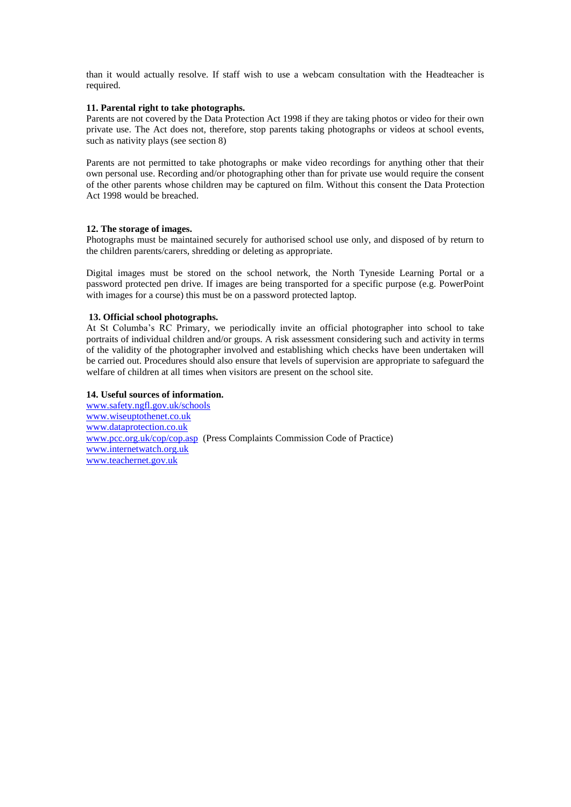than it would actually resolve. If staff wish to use a webcam consultation with the Headteacher is required.

## **11. Parental right to take photographs.**

Parents are not covered by the Data Protection Act 1998 if they are taking photos or video for their own private use. The Act does not, therefore, stop parents taking photographs or videos at school events, such as nativity plays (see section 8)

Parents are not permitted to take photographs or make video recordings for anything other that their own personal use. Recording and/or photographing other than for private use would require the consent of the other parents whose children may be captured on film. Without this consent the Data Protection Act 1998 would be breached.

# **12. The storage of images.**

Photographs must be maintained securely for authorised school use only, and disposed of by return to the children parents/carers, shredding or deleting as appropriate.

Digital images must be stored on the school network, the North Tyneside Learning Portal or a password protected pen drive. If images are being transported for a specific purpose (e.g. PowerPoint with images for a course) this must be on a password protected laptop.

## **13. Official school photographs.**

At St Columba's RC Primary, we periodically invite an official photographer into school to take portraits of individual children and/or groups. A risk assessment considering such and activity in terms of the validity of the photographer involved and establishing which checks have been undertaken will be carried out. Procedures should also ensure that levels of supervision are appropriate to safeguard the welfare of children at all times when visitors are present on the school site.

# **14. Useful sources of information.**

[www.safety.ngfl.gov.uk/schools](http://www.safety.ngfl.gov.uk/schools) [www.wiseuptothenet.co.uk](http://www.wiseuptothenet.co.uk/) [www.dataprotection.co.uk](http://www.dataprotection.co.uk/) [www.pcc.org.uk/cop/cop.asp](http://www.pcc.org.uk/cop/cop.asp) (Press Complaints Commission Code of Practice) [www.internetwatch.org.uk](http://www.internetwatch.org.uk/) [www.teachernet.gov.uk](http://www.teachernet.gov.uk/)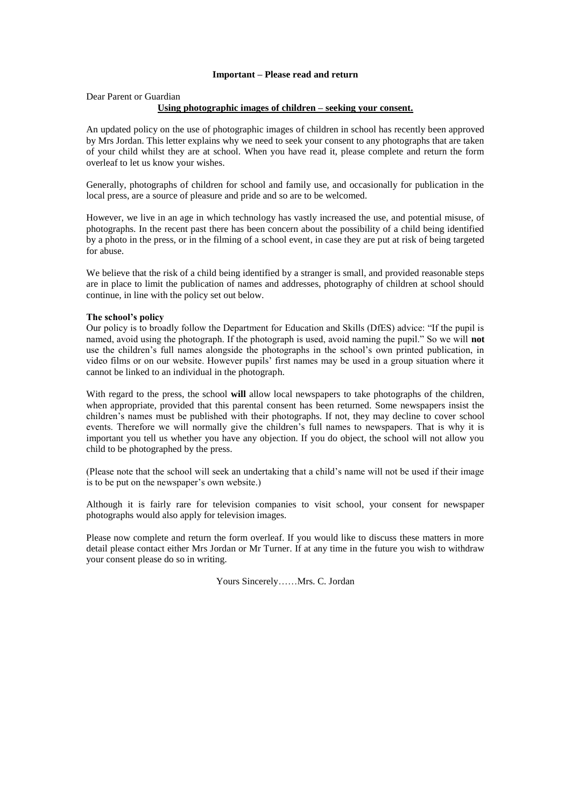# **Important – Please read and return**

#### Dear Parent or Guardian

#### **Using photographic images of children – seeking your consent.**

An updated policy on the use of photographic images of children in school has recently been approved by Mrs Jordan. This letter explains why we need to seek your consent to any photographs that are taken of your child whilst they are at school. When you have read it, please complete and return the form overleaf to let us know your wishes.

Generally, photographs of children for school and family use, and occasionally for publication in the local press, are a source of pleasure and pride and so are to be welcomed.

However, we live in an age in which technology has vastly increased the use, and potential misuse, of photographs. In the recent past there has been concern about the possibility of a child being identified by a photo in the press, or in the filming of a school event, in case they are put at risk of being targeted for abuse.

We believe that the risk of a child being identified by a stranger is small, and provided reasonable steps are in place to limit the publication of names and addresses, photography of children at school should continue, in line with the policy set out below.

#### **The school's policy**

Our policy is to broadly follow the Department for Education and Skills (DfES) advice: "If the pupil is named, avoid using the photograph. If the photograph is used, avoid naming the pupil." So we will **not**  use the children's full names alongside the photographs in the school's own printed publication, in video films or on our website. However pupils' first names may be used in a group situation where it cannot be linked to an individual in the photograph.

With regard to the press, the school **will** allow local newspapers to take photographs of the children, when appropriate, provided that this parental consent has been returned. Some newspapers insist the children's names must be published with their photographs. If not, they may decline to cover school events. Therefore we will normally give the children's full names to newspapers. That is why it is important you tell us whether you have any objection. If you do object, the school will not allow you child to be photographed by the press.

(Please note that the school will seek an undertaking that a child's name will not be used if their image is to be put on the newspaper's own website.)

Although it is fairly rare for television companies to visit school, your consent for newspaper photographs would also apply for television images.

Please now complete and return the form overleaf. If you would like to discuss these matters in more detail please contact either Mrs Jordan or Mr Turner. If at any time in the future you wish to withdraw your consent please do so in writing.

Yours Sincerely……Mrs. C. Jordan